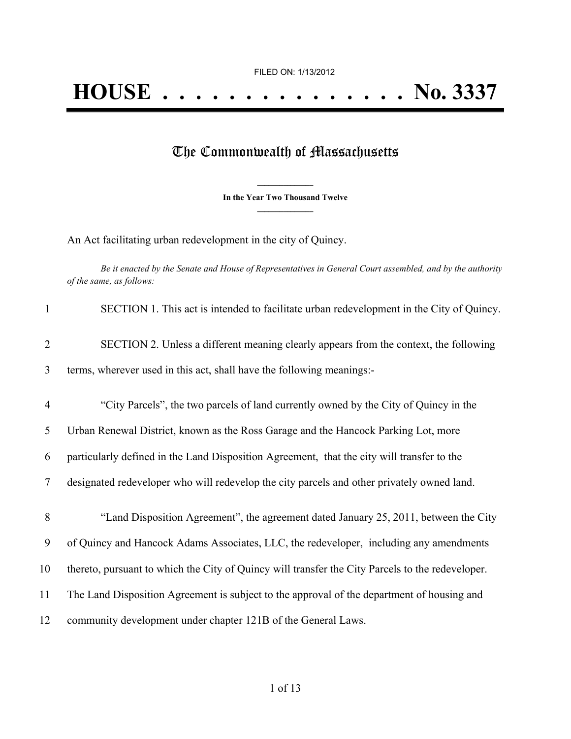## The Commonwealth of Massachusetts

**\_\_\_\_\_\_\_\_\_\_\_\_\_\_\_ In the Year Two Thousand Twelve \_\_\_\_\_\_\_\_\_\_\_\_\_\_\_**

An Act facilitating urban redevelopment in the city of Quincy.

Be it enacted by the Senate and House of Representatives in General Court assembled, and by the authority *of the same, as follows:*

| $\mathbf{1}$   | SECTION 1. This act is intended to facilitate urban redevelopment in the City of Quincy.         |
|----------------|--------------------------------------------------------------------------------------------------|
| $\overline{2}$ | SECTION 2. Unless a different meaning clearly appears from the context, the following            |
| 3              | terms, wherever used in this act, shall have the following meanings:-                            |
| $\overline{4}$ | "City Parcels", the two parcels of land currently owned by the City of Quincy in the             |
| 5              | Urban Renewal District, known as the Ross Garage and the Hancock Parking Lot, more               |
| 6              | particularly defined in the Land Disposition Agreement, that the city will transfer to the       |
| 7              | designated redeveloper who will redevelop the city parcels and other privately owned land.       |
| 8              | "Land Disposition Agreement", the agreement dated January 25, 2011, between the City             |
| 9              | of Quincy and Hancock Adams Associates, LLC, the redeveloper, including any amendments           |
| 10             | thereto, pursuant to which the City of Quincy will transfer the City Parcels to the redeveloper. |
| 11             | The Land Disposition Agreement is subject to the approval of the department of housing and       |
| 12             | community development under chapter 121B of the General Laws.                                    |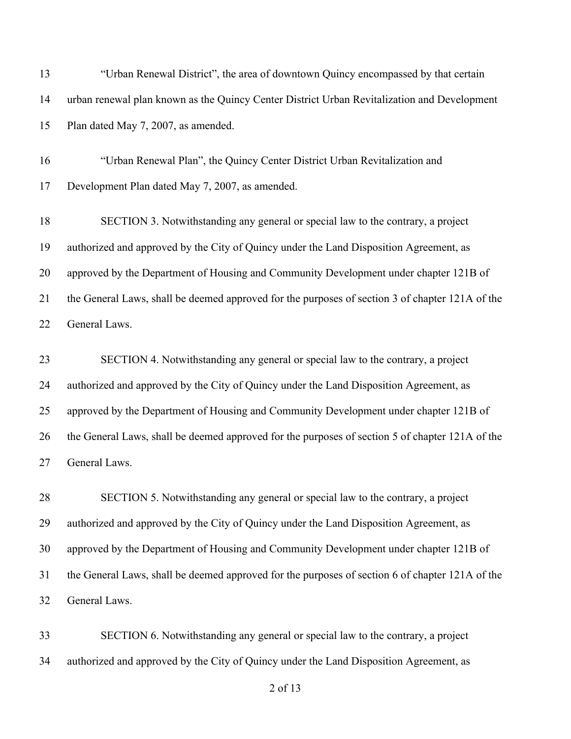| 13 | "Urban Renewal District", the area of downtown Quincy encompassed by that certain               |
|----|-------------------------------------------------------------------------------------------------|
| 14 | urban renewal plan known as the Quincy Center District Urban Revitalization and Development     |
| 15 | Plan dated May 7, 2007, as amended.                                                             |
| 16 | "Urban Renewal Plan", the Quincy Center District Urban Revitalization and                       |
| 17 | Development Plan dated May 7, 2007, as amended.                                                 |
| 18 | SECTION 3. Notwithstanding any general or special law to the contrary, a project                |
| 19 | authorized and approved by the City of Quincy under the Land Disposition Agreement, as          |
| 20 | approved by the Department of Housing and Community Development under chapter 121B of           |
| 21 | the General Laws, shall be deemed approved for the purposes of section 3 of chapter 121A of the |
| 22 | General Laws.                                                                                   |
| 23 | SECTION 4. Notwithstanding any general or special law to the contrary, a project                |
| 24 | authorized and approved by the City of Quincy under the Land Disposition Agreement, as          |
| 25 | approved by the Department of Housing and Community Development under chapter 121B of           |
| 26 | the General Laws, shall be deemed approved for the purposes of section 5 of chapter 121A of the |
| 27 | General Laws.                                                                                   |
| 28 | SECTION 5. Notwithstanding any general or special law to the contrary, a project                |
| 29 | authorized and approved by the City of Quincy under the Land Disposition Agreement, as          |
| 30 | approved by the Department of Housing and Community Development under chapter 121B of           |
| 31 | the General Laws, shall be deemed approved for the purposes of section 6 of chapter 121A of the |
|    |                                                                                                 |

 SECTION 6. Notwithstanding any general or special law to the contrary, a project authorized and approved by the City of Quincy under the Land Disposition Agreement, as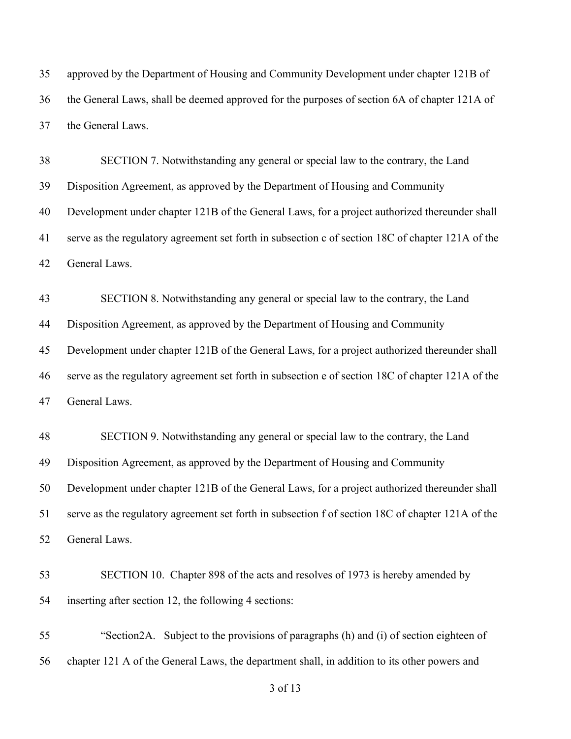approved by the Department of Housing and Community Development under chapter 121B of the General Laws, shall be deemed approved for the purposes of section 6A of chapter 121A of the General Laws.

 SECTION 7. Notwithstanding any general or special law to the contrary, the Land Disposition Agreement, as approved by the Department of Housing and Community Development under chapter 121B of the General Laws, for a project authorized thereunder shall serve as the regulatory agreement set forth in subsection c of section 18C of chapter 121A of the General Laws.

 SECTION 8. Notwithstanding any general or special law to the contrary, the Land Disposition Agreement, as approved by the Department of Housing and Community Development under chapter 121B of the General Laws, for a project authorized thereunder shall serve as the regulatory agreement set forth in subsection e of section 18C of chapter 121A of the General Laws.

 SECTION 9. Notwithstanding any general or special law to the contrary, the Land Disposition Agreement, as approved by the Department of Housing and Community Development under chapter 121B of the General Laws, for a project authorized thereunder shall serve as the regulatory agreement set forth in subsection f of section 18C of chapter 121A of the General Laws.

 SECTION 10. Chapter 898 of the acts and resolves of 1973 is hereby amended by inserting after section 12, the following 4 sections:

 "Section2A. Subject to the provisions of paragraphs (h) and (i) of section eighteen of chapter 121 A of the General Laws, the department shall, in addition to its other powers and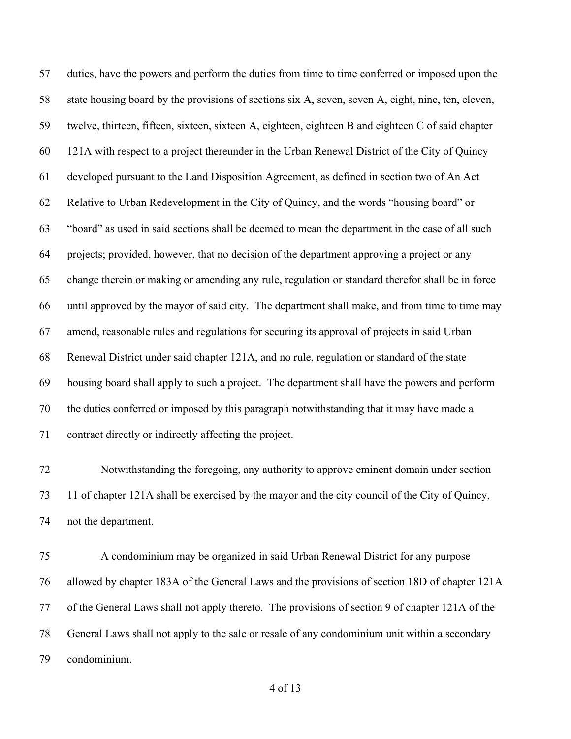duties, have the powers and perform the duties from time to time conferred or imposed upon the state housing board by the provisions of sections six A, seven, seven A, eight, nine, ten, eleven, twelve, thirteen, fifteen, sixteen, sixteen A, eighteen, eighteen B and eighteen C of said chapter 121A with respect to a project thereunder in the Urban Renewal District of the City of Quincy developed pursuant to the Land Disposition Agreement, as defined in section two of An Act Relative to Urban Redevelopment in the City of Quincy, and the words "housing board" or "board" as used in said sections shall be deemed to mean the department in the case of all such projects; provided, however, that no decision of the department approving a project or any change therein or making or amending any rule, regulation or standard therefor shall be in force until approved by the mayor of said city. The department shall make, and from time to time may amend, reasonable rules and regulations for securing its approval of projects in said Urban Renewal District under said chapter 121A, and no rule, regulation or standard of the state housing board shall apply to such a project. The department shall have the powers and perform the duties conferred or imposed by this paragraph notwithstanding that it may have made a contract directly or indirectly affecting the project.

 Notwithstanding the foregoing, any authority to approve eminent domain under section 11 of chapter 121A shall be exercised by the mayor and the city council of the City of Quincy, not the department.

 A condominium may be organized in said Urban Renewal District for any purpose allowed by chapter 183A of the General Laws and the provisions of section 18D of chapter 121A of the General Laws shall not apply thereto. The provisions of section 9 of chapter 121A of the General Laws shall not apply to the sale or resale of any condominium unit within a secondary condominium.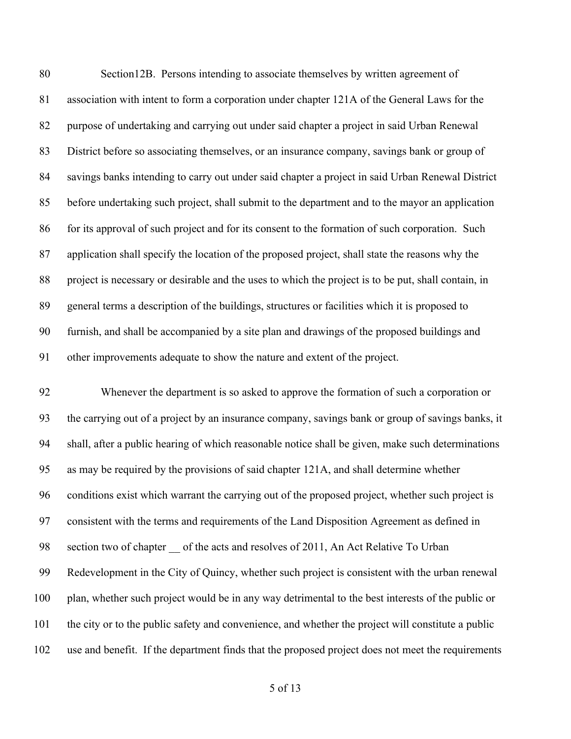Section12B. Persons intending to associate themselves by written agreement of association with intent to form a corporation under chapter 121A of the General Laws for the purpose of undertaking and carrying out under said chapter a project in said Urban Renewal District before so associating themselves, or an insurance company, savings bank or group of savings banks intending to carry out under said chapter a project in said Urban Renewal District before undertaking such project, shall submit to the department and to the mayor an application for its approval of such project and for its consent to the formation of such corporation. Such application shall specify the location of the proposed project, shall state the reasons why the project is necessary or desirable and the uses to which the project is to be put, shall contain, in general terms a description of the buildings, structures or facilities which it is proposed to furnish, and shall be accompanied by a site plan and drawings of the proposed buildings and other improvements adequate to show the nature and extent of the project.

 Whenever the department is so asked to approve the formation of such a corporation or the carrying out of a project by an insurance company, savings bank or group of savings banks, it shall, after a public hearing of which reasonable notice shall be given, make such determinations as may be required by the provisions of said chapter 121A, and shall determine whether conditions exist which warrant the carrying out of the proposed project, whether such project is consistent with the terms and requirements of the Land Disposition Agreement as defined in 98 section two of chapter of the acts and resolves of 2011, An Act Relative To Urban Redevelopment in the City of Quincy, whether such project is consistent with the urban renewal plan, whether such project would be in any way detrimental to the best interests of the public or the city or to the public safety and convenience, and whether the project will constitute a public use and benefit. If the department finds that the proposed project does not meet the requirements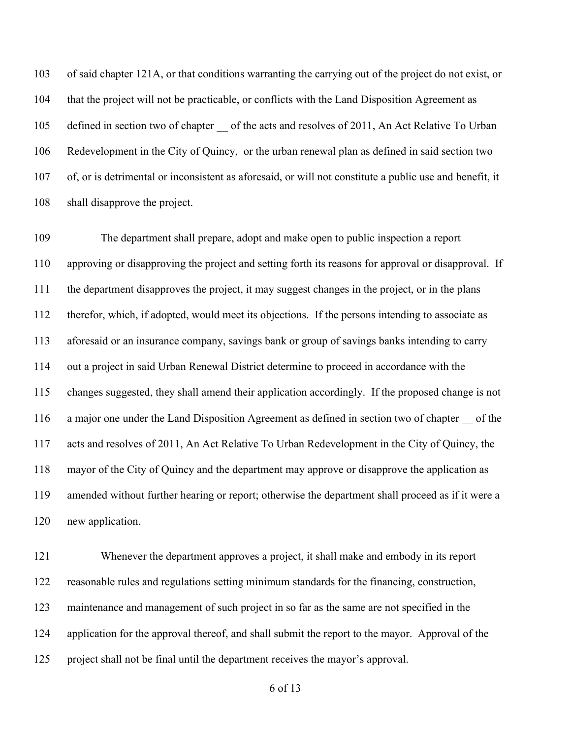of said chapter 121A, or that conditions warranting the carrying out of the project do not exist, or that the project will not be practicable, or conflicts with the Land Disposition Agreement as 105 defined in section two of chapter of the acts and resolves of 2011, An Act Relative To Urban Redevelopment in the City of Quincy, or the urban renewal plan as defined in said section two of, or is detrimental or inconsistent as aforesaid, or will not constitute a public use and benefit, it shall disapprove the project.

 The department shall prepare, adopt and make open to public inspection a report approving or disapproving the project and setting forth its reasons for approval or disapproval. If the department disapproves the project, it may suggest changes in the project, or in the plans therefor, which, if adopted, would meet its objections. If the persons intending to associate as aforesaid or an insurance company, savings bank or group of savings banks intending to carry out a project in said Urban Renewal District determine to proceed in accordance with the changes suggested, they shall amend their application accordingly. If the proposed change is not a major one under the Land Disposition Agreement as defined in section two of chapter \_\_ of the acts and resolves of 2011, An Act Relative To Urban Redevelopment in the City of Quincy, the mayor of the City of Quincy and the department may approve or disapprove the application as amended without further hearing or report; otherwise the department shall proceed as if it were a new application.

 Whenever the department approves a project, it shall make and embody in its report reasonable rules and regulations setting minimum standards for the financing, construction, maintenance and management of such project in so far as the same are not specified in the application for the approval thereof, and shall submit the report to the mayor. Approval of the project shall not be final until the department receives the mayor's approval.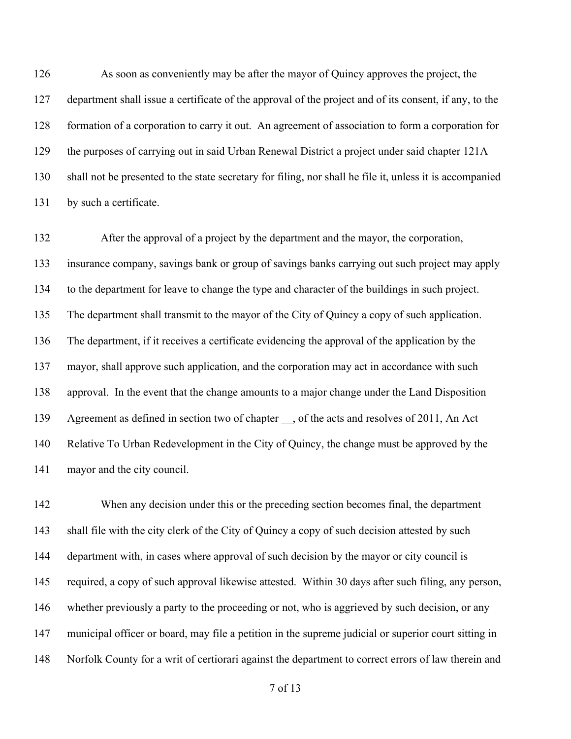As soon as conveniently may be after the mayor of Quincy approves the project, the department shall issue a certificate of the approval of the project and of its consent, if any, to the formation of a corporation to carry it out. An agreement of association to form a corporation for the purposes of carrying out in said Urban Renewal District a project under said chapter 121A shall not be presented to the state secretary for filing, nor shall he file it, unless it is accompanied by such a certificate.

 After the approval of a project by the department and the mayor, the corporation, insurance company, savings bank or group of savings banks carrying out such project may apply to the department for leave to change the type and character of the buildings in such project. The department shall transmit to the mayor of the City of Quincy a copy of such application. The department, if it receives a certificate evidencing the approval of the application by the mayor, shall approve such application, and the corporation may act in accordance with such approval. In the event that the change amounts to a major change under the Land Disposition 139 Agreement as defined in section two of chapter, of the acts and resolves of 2011, An Act Relative To Urban Redevelopment in the City of Quincy, the change must be approved by the mayor and the city council.

 When any decision under this or the preceding section becomes final, the department 143 shall file with the city clerk of the City of Quincy a copy of such decision attested by such department with, in cases where approval of such decision by the mayor or city council is required, a copy of such approval likewise attested. Within 30 days after such filing, any person, whether previously a party to the proceeding or not, who is aggrieved by such decision, or any municipal officer or board, may file a petition in the supreme judicial or superior court sitting in Norfolk County for a writ of certiorari against the department to correct errors of law therein and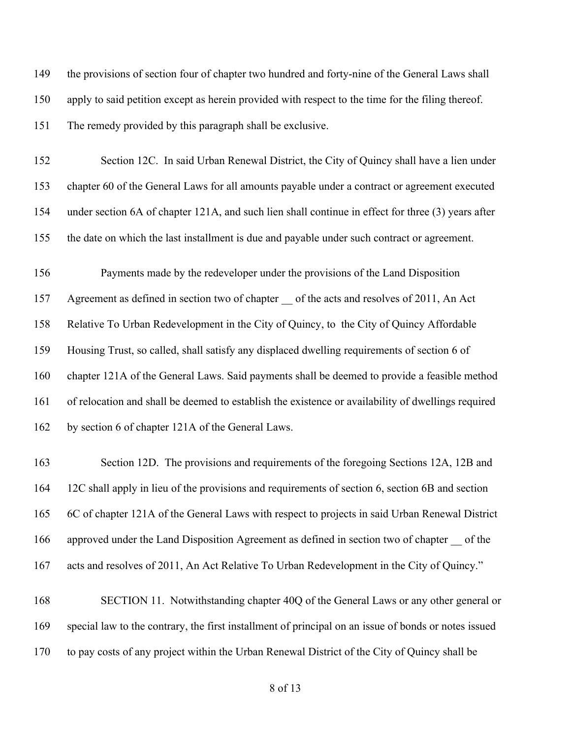149 the provisions of section four of chapter two hundred and forty-nine of the General Laws shall apply to said petition except as herein provided with respect to the time for the filing thereof. The remedy provided by this paragraph shall be exclusive.

 Section 12C. In said Urban Renewal District, the City of Quincy shall have a lien under chapter 60 of the General Laws for all amounts payable under a contract or agreement executed under section 6A of chapter 121A, and such lien shall continue in effect for three (3) years after the date on which the last installment is due and payable under such contract or agreement.

 Payments made by the redeveloper under the provisions of the Land Disposition Agreement as defined in section two of chapter \_\_ of the acts and resolves of 2011, An Act Relative To Urban Redevelopment in the City of Quincy, to the City of Quincy Affordable Housing Trust, so called, shall satisfy any displaced dwelling requirements of section 6 of chapter 121A of the General Laws. Said payments shall be deemed to provide a feasible method of relocation and shall be deemed to establish the existence or availability of dwellings required by section 6 of chapter 121A of the General Laws.

 Section 12D. The provisions and requirements of the foregoing Sections 12A, 12B and 12C shall apply in lieu of the provisions and requirements of section 6, section 6B and section 6C of chapter 121A of the General Laws with respect to projects in said Urban Renewal District approved under the Land Disposition Agreement as defined in section two of chapter \_\_ of the acts and resolves of 2011, An Act Relative To Urban Redevelopment in the City of Quincy."

 SECTION 11. Notwithstanding chapter 40Q of the General Laws or any other general or special law to the contrary, the first installment of principal on an issue of bonds or notes issued to pay costs of any project within the Urban Renewal District of the City of Quincy shall be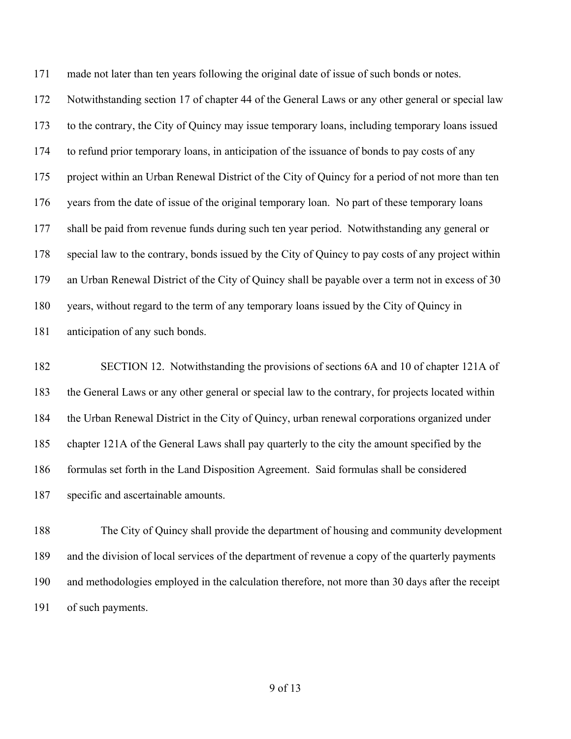made not later than ten years following the original date of issue of such bonds or notes.

 Notwithstanding section 17 of chapter 44 of the General Laws or any other general or special law to the contrary, the City of Quincy may issue temporary loans, including temporary loans issued to refund prior temporary loans, in anticipation of the issuance of bonds to pay costs of any 175 project within an Urban Renewal District of the City of Quincy for a period of not more than ten years from the date of issue of the original temporary loan. No part of these temporary loans shall be paid from revenue funds during such ten year period. Notwithstanding any general or special law to the contrary, bonds issued by the City of Quincy to pay costs of any project within an Urban Renewal District of the City of Quincy shall be payable over a term not in excess of 30 years, without regard to the term of any temporary loans issued by the City of Quincy in anticipation of any such bonds.

 SECTION 12. Notwithstanding the provisions of sections 6A and 10 of chapter 121A of the General Laws or any other general or special law to the contrary, for projects located within the Urban Renewal District in the City of Quincy, urban renewal corporations organized under chapter 121A of the General Laws shall pay quarterly to the city the amount specified by the formulas set forth in the Land Disposition Agreement. Said formulas shall be considered specific and ascertainable amounts.

 The City of Quincy shall provide the department of housing and community development and the division of local services of the department of revenue a copy of the quarterly payments and methodologies employed in the calculation therefore, not more than 30 days after the receipt of such payments.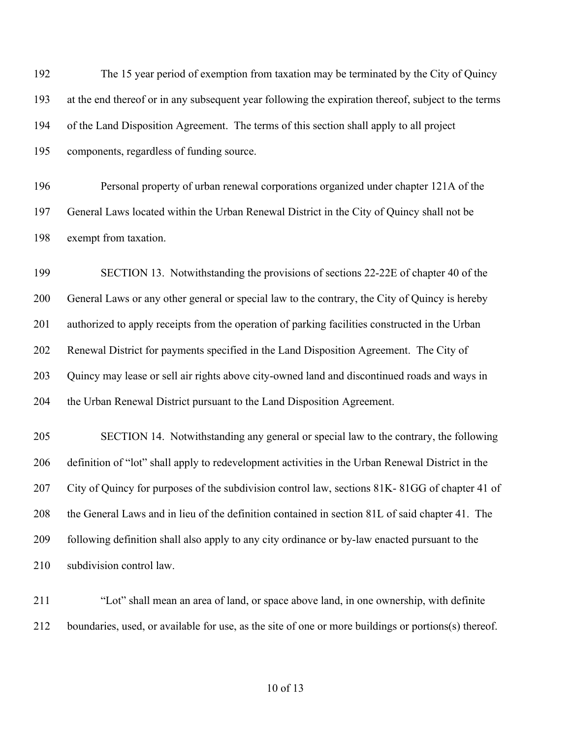The 15 year period of exemption from taxation may be terminated by the City of Quincy at the end thereof or in any subsequent year following the expiration thereof, subject to the terms of the Land Disposition Agreement. The terms of this section shall apply to all project components, regardless of funding source.

 Personal property of urban renewal corporations organized under chapter 121A of the General Laws located within the Urban Renewal District in the City of Quincy shall not be exempt from taxation.

 SECTION 13. Notwithstanding the provisions of sections 22-22E of chapter 40 of the General Laws or any other general or special law to the contrary, the City of Quincy is hereby authorized to apply receipts from the operation of parking facilities constructed in the Urban Renewal District for payments specified in the Land Disposition Agreement. The City of Quincy may lease or sell air rights above city-owned land and discontinued roads and ways in the Urban Renewal District pursuant to the Land Disposition Agreement.

 SECTION 14. Notwithstanding any general or special law to the contrary, the following definition of "lot" shall apply to redevelopment activities in the Urban Renewal District in the City of Quincy for purposes of the subdivision control law, sections 81K- 81GG of chapter 41 of the General Laws and in lieu of the definition contained in section 81L of said chapter 41. The following definition shall also apply to any city ordinance or by-law enacted pursuant to the subdivision control law.

 "Lot" shall mean an area of land, or space above land, in one ownership, with definite boundaries, used, or available for use, as the site of one or more buildings or portions(s) thereof.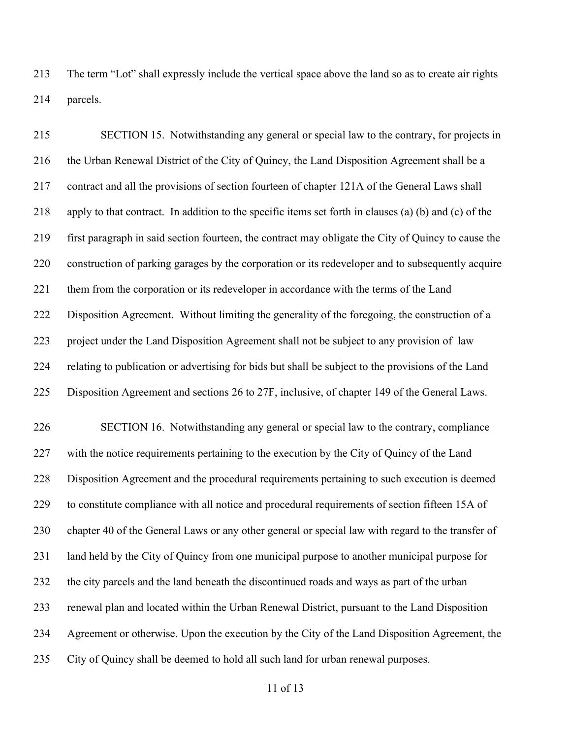The term "Lot" shall expressly include the vertical space above the land so as to create air rights parcels.

 SECTION 15. Notwithstanding any general or special law to the contrary, for projects in 216 the Urban Renewal District of the City of Quincy, the Land Disposition Agreement shall be a contract and all the provisions of section fourteen of chapter 121A of the General Laws shall apply to that contract. In addition to the specific items set forth in clauses (a) (b) and (c) of the first paragraph in said section fourteen, the contract may obligate the City of Quincy to cause the construction of parking garages by the corporation or its redeveloper and to subsequently acquire 221 them from the corporation or its redeveloper in accordance with the terms of the Land Disposition Agreement. Without limiting the generality of the foregoing, the construction of a project under the Land Disposition Agreement shall not be subject to any provision of law relating to publication or advertising for bids but shall be subject to the provisions of the Land Disposition Agreement and sections 26 to 27F, inclusive, of chapter 149 of the General Laws. SECTION 16. Notwithstanding any general or special law to the contrary, compliance 227 with the notice requirements pertaining to the execution by the City of Quincy of the Land Disposition Agreement and the procedural requirements pertaining to such execution is deemed to constitute compliance with all notice and procedural requirements of section fifteen 15A of chapter 40 of the General Laws or any other general or special law with regard to the transfer of land held by the City of Quincy from one municipal purpose to another municipal purpose for the city parcels and the land beneath the discontinued roads and ways as part of the urban renewal plan and located within the Urban Renewal District, pursuant to the Land Disposition

Agreement or otherwise. Upon the execution by the City of the Land Disposition Agreement, the

City of Quincy shall be deemed to hold all such land for urban renewal purposes.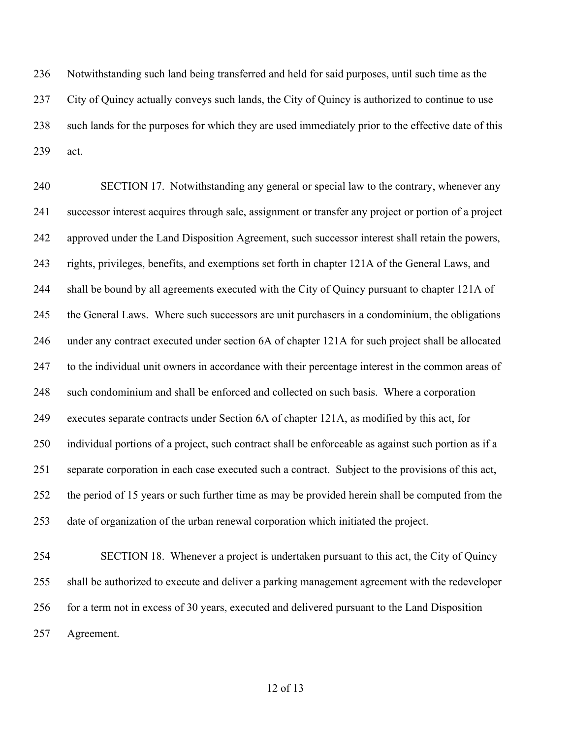Notwithstanding such land being transferred and held for said purposes, until such time as the City of Quincy actually conveys such lands, the City of Quincy is authorized to continue to use such lands for the purposes for which they are used immediately prior to the effective date of this act.

 SECTION 17. Notwithstanding any general or special law to the contrary, whenever any successor interest acquires through sale, assignment or transfer any project or portion of a project approved under the Land Disposition Agreement, such successor interest shall retain the powers, rights, privileges, benefits, and exemptions set forth in chapter 121A of the General Laws, and shall be bound by all agreements executed with the City of Quincy pursuant to chapter 121A of the General Laws. Where such successors are unit purchasers in a condominium, the obligations under any contract executed under section 6A of chapter 121A for such project shall be allocated to the individual unit owners in accordance with their percentage interest in the common areas of such condominium and shall be enforced and collected on such basis. Where a corporation executes separate contracts under Section 6A of chapter 121A, as modified by this act, for individual portions of a project, such contract shall be enforceable as against such portion as if a separate corporation in each case executed such a contract. Subject to the provisions of this act, the period of 15 years or such further time as may be provided herein shall be computed from the date of organization of the urban renewal corporation which initiated the project.

 SECTION 18. Whenever a project is undertaken pursuant to this act, the City of Quincy shall be authorized to execute and deliver a parking management agreement with the redeveloper for a term not in excess of 30 years, executed and delivered pursuant to the Land Disposition Agreement.